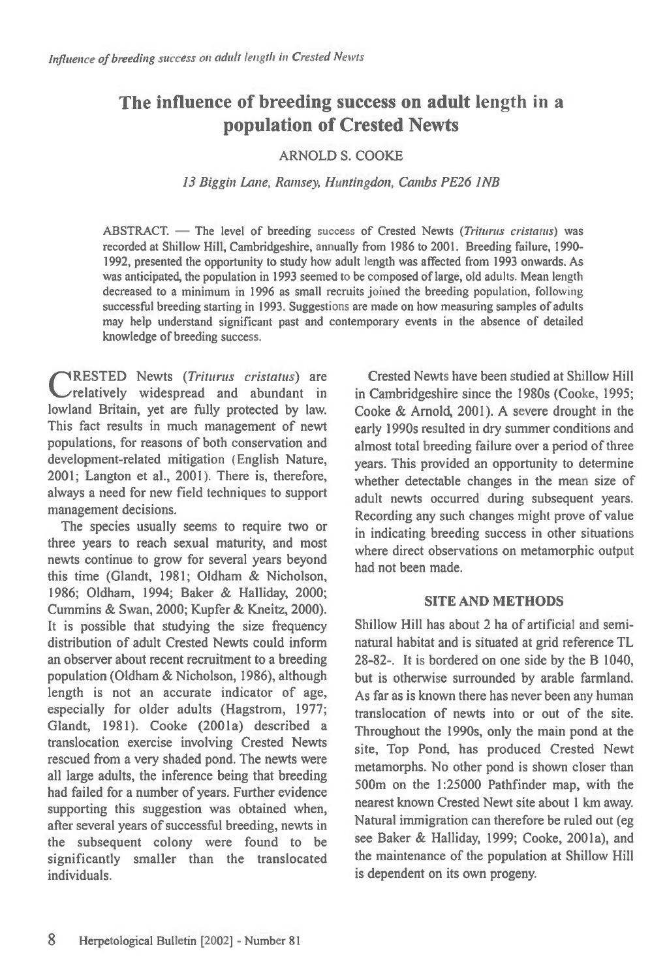# **The influence of breeding success on adult length in a population of Crested Newts**

### ARNOLD S. COOKE

#### *13 Biggin Lane, Ramsey, Huntingdon, Combs PE26 INB*

ABSTRACT. - The level of breeding success of Crested Newts (Triturus cristatus) was recorded at Shillow Hill, Cambridgeshire, annually from 1986 to 2001. Breeding failure, 1990- 1992, presented the opportunity to study how adult length was affected from 1993 onwards. As was anticipated, the population in 1993 seemed to be composed of large, old adults. Mean length decreased to a minimum in 1996 as small recruits joined the breeding population, following successful breeding starting in 1993. Suggestions are made on how measuring samples of adults may help understand significant past and contemporary events in the absence of detailed knowledge of breeding success.

CRESTED Newts (Triturus cristatus) are<br>
Crelatively widespread and abundant in RESTED Newts *(Triturus cristatus) are*  lowland Britain, yet are fully protected by law. This fact results in much management of newt populations, for reasons of both conservation and development-related mitigation (English Nature, 2001; Langton et al., 2001). There is, therefore, always a need for new field techniques to support management decisions.

The species usually seems to require two or three years to reach sexual maturity, and most newts continue to grow for several years beyond this time (Glandt, 1981; Oldham & Nicholson, 1986; Oldham, 1994; Baker & Halliday, 2000; Cummins & Swan, 2000; Kupfer & Kneitz, 2000). It is possible that studying the size frequency distribution of adult Crested Newts could inform an observer about recent recruitment to a breeding population (Oldham & Nicholson, 1986), although length is not an accurate indicator of age, especially for older adults (Hagstrom, 1977; Glandt, 1981). Cooke (2001a) described a translocation exercise involving Crested Newts rescued from a very shaded pond. The newts were all large adults, the inference being that breeding had failed for a number of years. Further evidence supporting this suggestion was obtained when, after several years of successful breeding, newts in the subsequent colony were found to be significantly smaller than the translocated individuals.

Crested Newts have been studied at Shillow Hill in Cambridgeshire since the 1980s (Cooke, 1995; Cooke & Arnold, 2001). A severe drought in the early 1990s resulted in dry summer conditions and almost total breeding failure over a period of three years. This provided an opportunity to determine whether detectable changes in the mean size of adult newts occurred during subsequent years. Recording any such changes might prove of value in indicating breeding success in other situations where direct observations on metamorphic output had not been made.

#### **SITE AND METHODS**

Shillow Hill has about 2 ha of artificial and seminatural habitat and is situated at grid reference TL 28-82-. It is bordered on one side by the B 1040, but is otherwise surrounded by arable farmland. As far as is known there has never been any human translocation of newts into or out of the site. Throughout the 1990s, only the main pond at the site, Top Pond, has produced Crested Newt metamorphs. No other pond is shown closer than 500m on the 1:25000 Pathfinder map, with the nearest known Crested Newt site about 1 km away. Natural immigration can therefore be ruled out (eg see Baker & Halliday, 1999; Cooke, 2001a), and the maintenance of the population at Shillow Hill is dependent on its own progeny.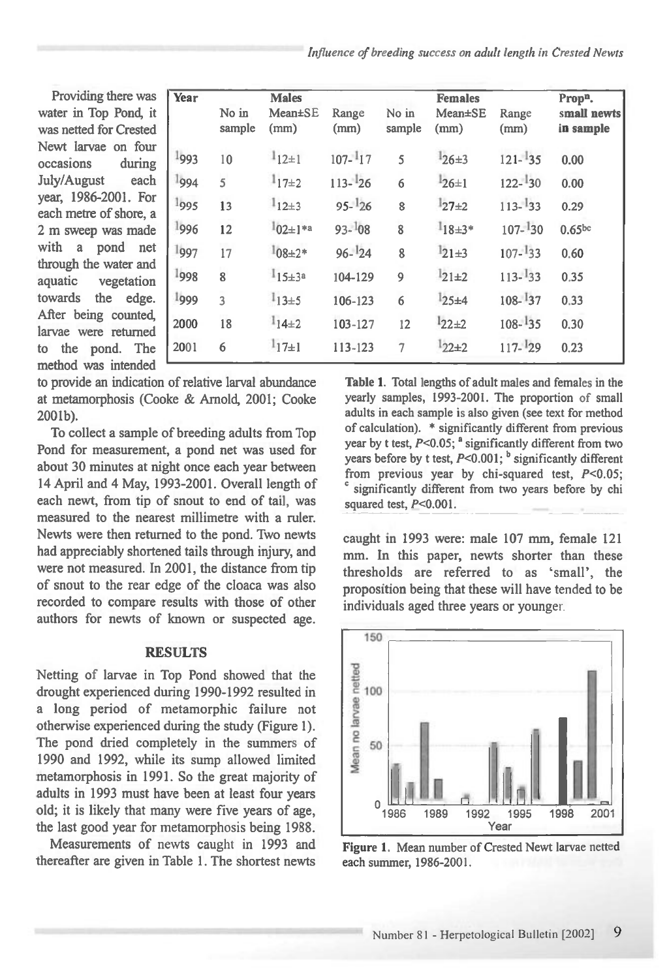*Influence of breeding success on adult length in Crested Newts* 

Providing there water in Top Pond was netted for Crest Newt larvae on f occasions dur July/August e year, 1986-2001. each metre of short 2 m sweep was m with a pond through the water aquatic vegetat towards the ed After being coun larvae were retur to the pond. method was intended

| Year | No in<br>sample         | <b>Males</b><br>Mean±SE<br>(mm) | Range<br>(mm) | No in<br>sample | <b>Females</b><br>$Mean \pm SE$<br>(mm) | Range<br>(mm) | Prop <sup>n</sup> .<br>small newts<br>in sample |
|------|-------------------------|---------------------------------|---------------|-----------------|-----------------------------------------|---------------|-------------------------------------------------|
| 1993 | 10                      | $1_{12\pm 1}$                   | $107 - 117$   | 5               | $126 \pm 3$                             | $121 - 35$    | 0.00                                            |
| 1994 | $\overline{5}$          | $1_{17\pm 2}$                   | $113 - 26$    | 6               | $126 \pm 1$                             | $122 - 30$    | 0.00                                            |
| 1995 | 13                      | $1_{12\pm 3}$                   | $95 - 126$    | 8               | $127+2$                                 | $113 - 33$    | 0.29                                            |
| 1996 | 12                      | $1_{02 \pm 1}$ *a               | $93 - 108$    | $\overline{8}$  | $1_{18\pm3*}$                           | $107 - 130$   | 0.65 <sub>bc</sub>                              |
| 1997 | $\frac{17}{2}$          | $1_{08\pm2*}$                   | $96 - 124$    | 8               | $1_{21\pm 3}$                           | $107 - 133$   | 0.60                                            |
| 1998 | $\overline{\mathbf{8}}$ | $115 \pm 3^a$                   | 104-129       | 9               | $121 \pm 2$                             | $113 - 33$    | 0.35                                            |
| 1999 | $\overline{\mathbf{3}}$ | $1_{13\pm 5}$                   | 106-123       | $\overline{6}$  | $125 + 4$                               | $108 - 137$   | 0.33                                            |
| 2000 | 18                      | $1_{14\pm 2}$                   | 103-127       | 12              | $122+2$                                 | $108 - 135$   | 0.30                                            |
| 2001 | 6                       | $1_{17\pm1}$                    | 113-123       | $\overline{7}$  | $122+2$                                 | $117 - 29$    | 0.23                                            |
|      |                         |                                 |               |                 |                                         |               |                                                 |

to provide an indication of relative larval abundance at metamorphosis (Cooke & Arnold, 2001; Cooke 2001b).

To collect a sample of breeding adults from Top Pond for measurement, a pond net was used for about 30 minutes at night once each year between 14 April and 4 May, 1993-2001. Overall length of each newt, from tip of snout to end of tail, was measured to the nearest millimetre with a ruler. Newts were then returned to the pond. Two newts had appreciably shortened tails through injury, and were not measured. In 2001, the distance from tip of snout to the rear edge of the cloaca was also recorded to compare results with those of other authors for newts of known or suspected age.

#### **RESULTS**

Netting of larvae in Top Pond showed that the drought experienced during 1990-1992 resulted in a long period of metamorphic failure not otherwise experienced during the study (Figure 1). The pond dried completely in the summers of 1990 and 1992, while its sump allowed limited metamorphosis in 1991. So the great majority of adults in 1993 must have been at least four years old; it is likely that many were five years of age, the last good year for metamorphosis being 1988.

Measurements of newts caught in 1993 and thereafter are given in Table 1. The shortest newts

**Table 1.** Total lengths of adult males and females in the yearly samples, 1993-2001. The proportion of small adults in each sample is also given (see text for method of calculation). \* significantly different from previous year by t test,  $P<0.05$ ;  $^a$  significantly different from two years before by t test, P<0.001; **b** significantly different from previous year by chi-squared test, P<0.05; significantly different from two years before by chi squared test,  $P<0.001$ .

caught in 1993 were: male 107 mm, female 121 mm. In this paper, newts shorter than these thresholds are referred to as 'small', the proposition being that these will have tended to be individuals aged three years or younger.



Figure **1.** Mean number of Crested Newt larvae netted each summer, 1986-2001.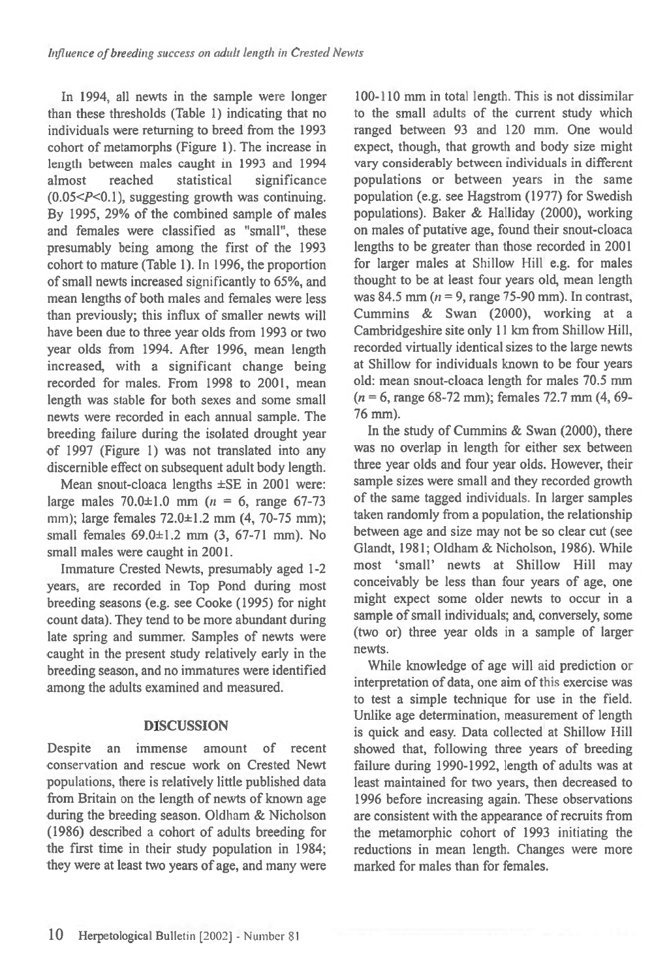In 1994, all newts in the sample were longer than these thresholds (Table 1) indicating that no individuals were returning to breed from the 1993 cohort of metamorphs (Figure 1). The increase in length between males caught in 1993 and 1994 almost reached statistical significance  $(0.05 < P < 0.1)$ , suggesting growth was continuing. By 1995, 29% of the combined sample of males and females were classified as "small", these presumably being among the first of the 1993 cohort to mature (Table 1). In 1996, the proportion of small newts increased significantly to 65%, and mean lengths of both males and females were less than previously; this influx of smaller newts will have been due to three year olds from 1993 or two year olds from 1994. After 1996, mean length increased, with a significant change being recorded for males. From 1998 to 2001, mean length was stable for both sexes and some small newts were recorded in each annual sample. The breeding failure during the isolated drought year of 1997 (Figure 1) was not translated into any discernible effect on subsequent adult body length.

Mean snout-cloaca lengths ±SE in 2001 were: large males  $70.0 \pm 1.0$  mm  $(n = 6, \text{ range } 67 - 73)$ mm); large females 72.0±1.2 mm (4, 70-75 mm); small females  $69.0 \pm 1.2$  mm  $(3, 67 - 71$  mm). No small males were caught in 2001.

Immature Crested Newts, presumably aged 1-2 years, are recorded in Top Pond during most breeding seasons (e.g. see Cooke (1995) for night count data). They tend to be more abundant during late spring and summer. Samples of newts were caught in the present study relatively early in the breeding season, and no immatures were identified among the adults examined and measured.

## **DISCUSSION**

Despite an immense amount of recent conservation and rescue work on Crested Newt populations, there is relatively little published data from Britain on the length of newts of known age during the breeding season. Oldham & Nicholson (1986) described a cohort of adults breeding for the first time in their study population in 1984; they were at least two years of age, and many were

100-110 mm in total length. This is not dissimilar to the small adults of the current study which ranged between 93 and 120 mm. One would expect, though, that growth and body size might vary considerably between individuals in different populations or between years in the same population (e.g. see Hagstrom (1977) for Swedish populations). Baker & Halliday (2000), working on males of putative age, found their snout-cloaca lengths to be greater than those recorded in 2001 for larger males at Shillow Hill e.g. for males thought to be at least four years old, mean length was 84.5 mm ( $n = 9$ , range 75-90 mm). In contrast, Cummins & Swan (2000), working at a Cambridgeshire site only 11 km from Shillow Hill, recorded virtually identical sizes to the large newts at Shillow for individuals known to be four years old: mean snout-cloaca length for males 70.5 mm  $(n = 6, \text{ range } 68 - 72 \text{ mm})$ ; females 72.7 mm  $(4, 69 -$ 76 mm).

In the study of Cummins & Swan (2000), there was no overlap in length for either sex between three year olds and four year olds. However, their sample sizes were small and they recorded growth of the same tagged individuals. In larger samples taken randomly from a population, the relationship between age and size may not be so clear cut (see Glandt, 1981; Oldham & Nicholson, 1986). While most 'small' newts at Shillow Hill may conceivably be less than four years of age, one might expect some older newts to occur in a sample of small individuals; and, conversely, some (two or) three year olds in a sample of larger newts.

While knowledge of age will aid prediction or interpretation of data, one aim of this exercise was to test a simple technique for use in the field. Unlike age determination, measurement of length is quick and easy. Data collected at Shillow Hill showed that, following three years of breeding failure during 1990-1992, length of adults was at least maintained for two years, then decreased to 1996 before increasing again. These observations are consistent with the appearance of recruits from the metamorphic cohort of 1993 initiating the reductions in mean length. Changes were more marked for males than for females.